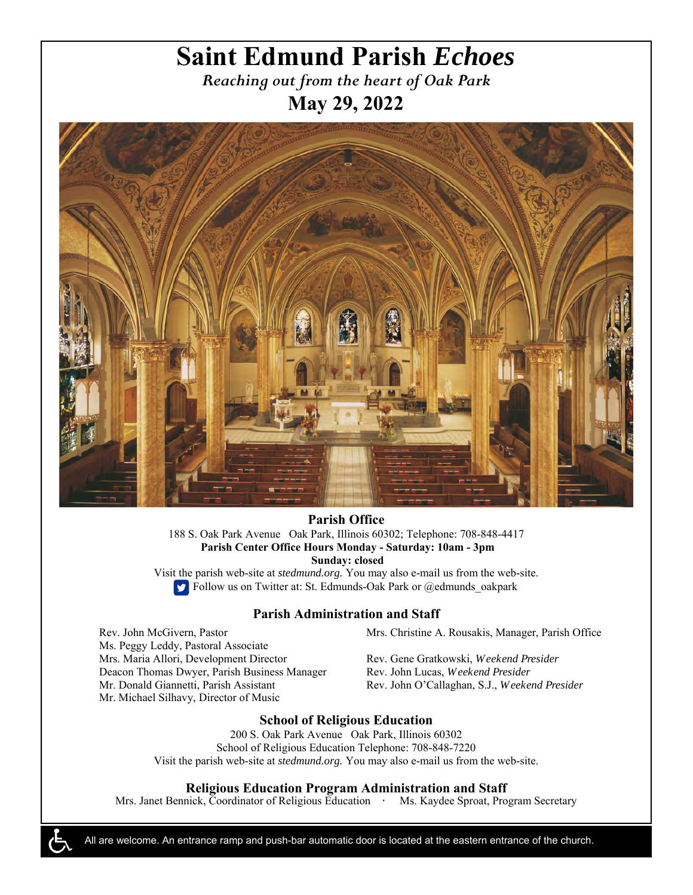# **Saint Edmund Parish** *Echoes*

*Reaching out from the heart of Oak Park*  **May 29, 2022** 



**Parish Office** 188 S. Oak Park Avenue Oak Park, Illinois 60302; Telephone: 708-848-4417  **Parish Center Office Hours Monday - Saturday: 10am - 3pm Sunday: closed** 

Visit the parish web-site at *stedmund.org.* You may also e-mail us from the web-site. Follow us on Twitter at: St. Edmunds-Oak Park or @edmunds\_oakpark

### **Parish Administration and Staff**

Rev. John McGivern, Pastor Ms. Peggy Leddy, Pastoral Associate Mrs. Maria Allori, Development Director Deacon Thomas Dwyer, Parish Business Manager Mr. Donald Giannetti, Parish Assistant Mr. Michael Silhavy, Director of Music

Mrs. Christine A. Rousakis, Manager, Parish Office

Rev. Gene Gratkowski, *Weekend Presider*  Rev. John Lucas, *Weekend Presider*  Rev. John O'Callaghan, S.J., *Weekend Presider* 

### **School of Religious Education**

200 S. Oak Park Avenue Oak Park, Illinois 60302 School of Religious Education Telephone: 708-848-7220 Visit the parish web-site at *stedmund.org.* You may also e-mail us from the web-site.

### **Religious Education Program Administration and Staff**

Mrs. Janet Bennick, Coordinator of Religious Education **·** Ms. Kaydee Sproat, Program Secretary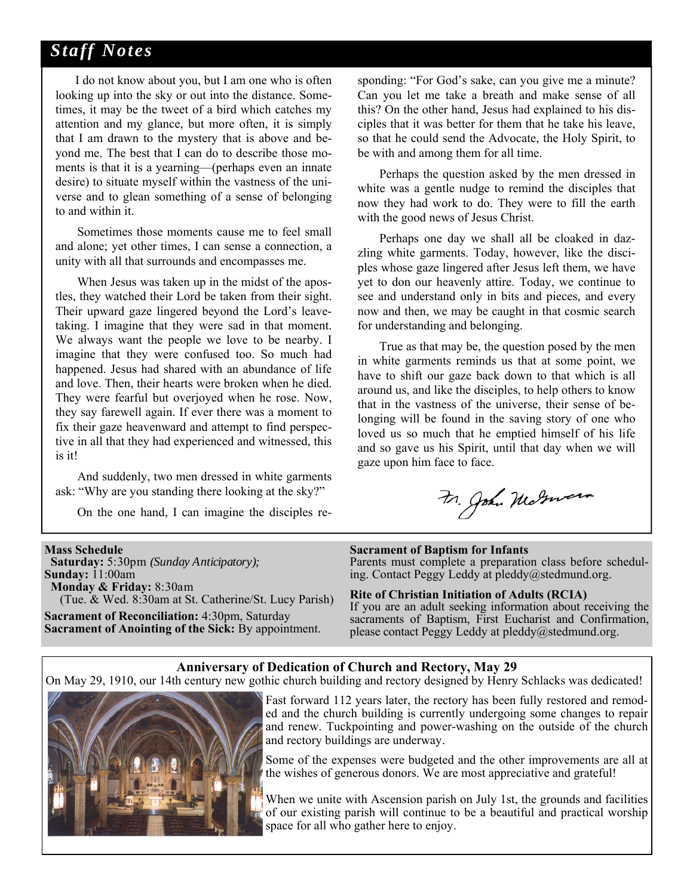## *Staff Notes*

 I do not know about you, but I am one who is often looking up into the sky or out into the distance. Sometimes, it may be the tweet of a bird which catches my attention and my glance, but more often, it is simply that I am drawn to the mystery that is above and beyond me. The best that I can do to describe those moments is that it is a yearning—(perhaps even an innate desire) to situate myself within the vastness of the universe and to glean something of a sense of belonging to and within it.

 Sometimes those moments cause me to feel small and alone; yet other times, I can sense a connection, a unity with all that surrounds and encompasses me.

 When Jesus was taken up in the midst of the apostles, they watched their Lord be taken from their sight. Their upward gaze lingered beyond the Lord's leavetaking. I imagine that they were sad in that moment. We always want the people we love to be nearby. I imagine that they were confused too. So much had happened. Jesus had shared with an abundance of life and love. Then, their hearts were broken when he died. They were fearful but overjoyed when he rose. Now, they say farewell again. If ever there was a moment to fix their gaze heavenward and attempt to find perspective in all that they had experienced and witnessed, this is it!

 And suddenly, two men dressed in white garments ask: "Why are you standing there looking at the sky?"

On the one hand, I can imagine the disciples re-

sponding: "For God's sake, can you give me a minute? Can you let me take a breath and make sense of all this? On the other hand, Jesus had explained to his disciples that it was better for them that he take his leave, so that he could send the Advocate, the Holy Spirit, to be with and among them for all time.

 Perhaps the question asked by the men dressed in white was a gentle nudge to remind the disciples that now they had work to do. They were to fill the earth with the good news of Jesus Christ.

 Perhaps one day we shall all be cloaked in dazzling white garments. Today, however, like the disciples whose gaze lingered after Jesus left them, we have yet to don our heavenly attire. Today, we continue to see and understand only in bits and pieces, and every now and then, we may be caught in that cosmic search for understanding and belonging.

 True as that may be, the question posed by the men in white garments reminds us that at some point, we have to shift our gaze back down to that which is all around us, and like the disciples, to help others to know that in the vastness of the universe, their sense of belonging will be found in the saving story of one who loved us so much that he emptied himself of his life and so gave us his Spirit, until that day when we will gaze upon him face to face.

Fr. John Maturera

#### **Mass Schedule**

 **Saturday:** 5:30pm *(Sunday Anticipatory);*  **Sunday:** 11:00am  **Monday & Friday:** 8:30am (Tue. & Wed. 8:30am at St. Catherine/St. Lucy Parish) **Sacrament of Reconciliation:** 4:30pm, Saturday

**Sacrament of Anointing of the Sick:** By appointment.

### **Sacrament of Baptism for Infants**

Parents must complete a preparation class before scheduling. Contact Peggy Leddy at pleddy@stedmund.org.

### **Rite of Christian Initiation of Adults (RCIA)**

If you are an adult seeking information about receiving the sacraments of Baptism, First Eucharist and Confirmation, please contact Peggy Leddy at pleddy@stedmund.org.

### **Anniversary of Dedication of Church and Rectory, May 29**

On May 29, 1910, our 14th century new gothic church building and rectory designed by Henry Schlacks was dedicated!



Fast forward 112 years later, the rectory has been fully restored and remoded and the church building is currently undergoing some changes to repair and renew. Tuckpointing and power-washing on the outside of the church and rectory buildings are underway.

Some of the expenses were budgeted and the other improvements are all at the wishes of generous donors. We are most appreciative and grateful!

When we unite with Ascension parish on July 1st, the grounds and facilities of our existing parish will continue to be a beautiful and practical worship space for all who gather here to enjoy.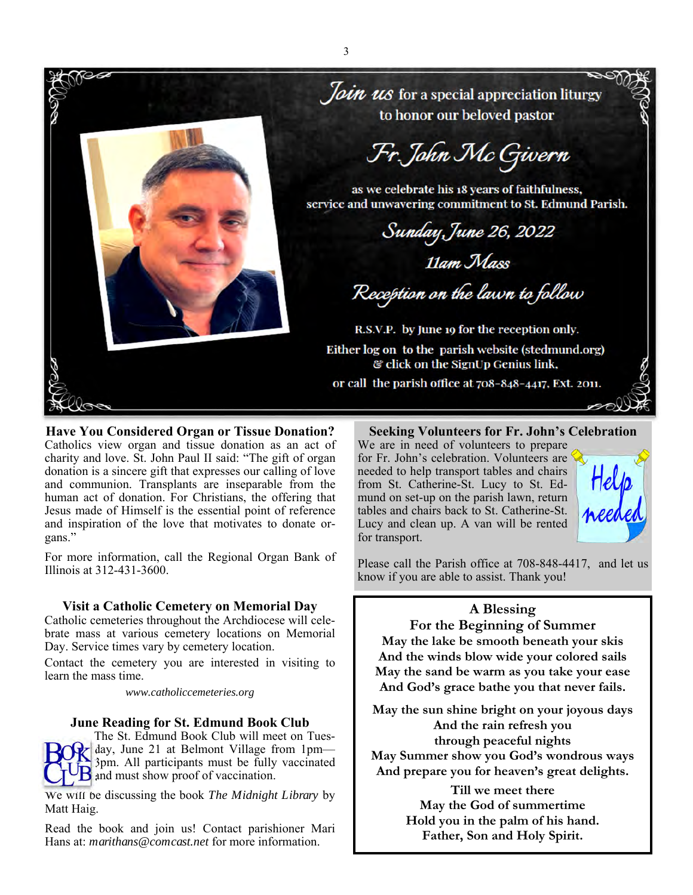

**Have You Considered Organ or Tissue Donation?**  Catholics view organ and tissue donation as an act of charity and love. St. John Paul II said: "The gift of organ donation is a sincere gift that expresses our calling of love and communion. Transplants are inseparable from the human act of donation. For Christians, the offering that Jesus made of Himself is the essential point of reference and inspiration of the love that motivates to donate organs."

For more information, call the Regional Organ Bank of Illinois at 312-431-3600.

### **Visit a Catholic Cemetery on Memorial Day**

Catholic cemeteries throughout the Archdiocese will celebrate mass at various cemetery locations on Memorial Day. Service times vary by cemetery location.

Contact the cemetery you are interested in visiting to learn the mass time.

*www.catholiccemeteries.org* 

### **June Reading for St. Edmund Book Club**

The St. Edmund Book Club will meet on Tuesday, June 21 at Belmont Village from 1pm— 3pm. All participants must be fully vaccinated **B** and must show proof of vaccination.

We will be discussing the book *The Midnight Library* by Matt Haig.

Read the book and join us! Contact parishioner Mari Hans at: *marithans@comcast.net* for more information.

### **Seeking Volunteers for Fr. John's Celebration**

We are in need of volunteers to prepare for Fr. John's celebration. Volunteers are needed to help transport tables and chairs from St. Catherine-St. Lucy to St. Edmund on set-up on the parish lawn, return tables and chairs back to St. Catherine-St. Lucy and clean up. A van will be rented for transport.



Please call the Parish office at 708-848-4417, and let us know if you are able to assist. Thank you!

### **A Blessing**

**For the Beginning of Summer May the lake be smooth beneath your skis** 

**And the winds blow wide your colored sails May the sand be warm as you take your ease And God's grace bathe you that never fails.** 

**May the sun shine bright on your joyous days And the rain refresh you through peaceful nights May Summer show you God's wondrous ways And prepare you for heaven's great delights.** 

> **Till we meet there May the God of summertime Hold you in the palm of his hand. Father, Son and Holy Spirit.**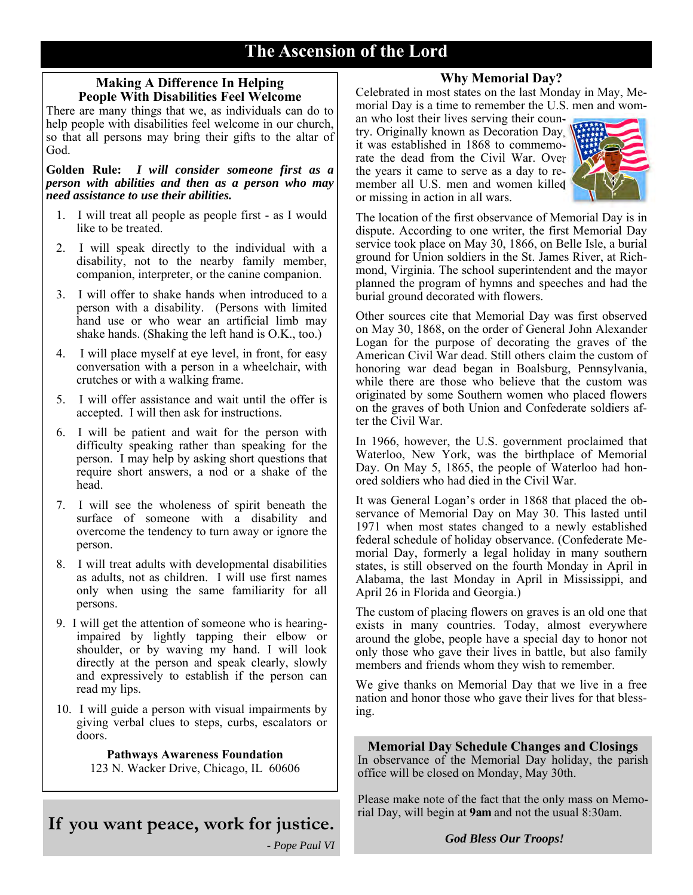### 4 **The Ascension of the Lord**

### **Making A Difference In Helping People With Disabilities Feel Welcome**

There are many things that we, as individuals can do to help people with disabilities feel welcome in our church, so that all persons may bring their gifts to the altar of God.

**Golden Rule:** *I will consider someone first as a person with abilities and then as a person who may need assistance to use their abilities.* 

- 1. I will treat all people as people first as I would like to be treated.
- 2. I will speak directly to the individual with a disability, not to the nearby family member, companion, interpreter, or the canine companion.
- 3. I will offer to shake hands when introduced to a person with a disability. (Persons with limited hand use or who wear an artificial limb may shake hands. (Shaking the left hand is O.K., too.)
- 4. I will place myself at eye level, in front, for easy conversation with a person in a wheelchair, with crutches or with a walking frame.
- 5. I will offer assistance and wait until the offer is accepted. I will then ask for instructions.
- 6. I will be patient and wait for the person with difficulty speaking rather than speaking for the person. I may help by asking short questions that require short answers, a nod or a shake of the head.
- 7. I will see the wholeness of spirit beneath the surface of someone with a disability and overcome the tendency to turn away or ignore the person.
- 8. I will treat adults with developmental disabilities as adults, not as children. I will use first names only when using the same familiarity for all persons.
- 9. I will get the attention of someone who is hearingimpaired by lightly tapping their elbow or shoulder, or by waving my hand. I will look directly at the person and speak clearly, slowly and expressively to establish if the person can read my lips.
- 10. I will guide a person with visual impairments by giving verbal clues to steps, curbs, escalators or doors.

### **Pathways Awareness Foundation**

123 N. Wacker Drive, Chicago, IL 60606

# **If you want peace, work for justice.**

*- Pope Paul VI* 

### **Why Memorial Day?**

Celebrated in most states on the last Monday in May, Memorial Day is a time to remember the U.S. men and wom-

an who lost their lives serving their country. Originally known as Decoration Day, it was established in 1868 to commemorate the dead from the Civil War. Over the years it came to serve as a day to remember all U.S. men and women killed or missing in action in all wars.



The location of the first observance of Memorial Day is in dispute. According to one writer, the first Memorial Day service took place on May 30, 1866, on Belle Isle, a burial ground for Union soldiers in the St. James River, at Richmond, Virginia. The school superintendent and the mayor planned the program of hymns and speeches and had the burial ground decorated with flowers.

Other sources cite that Memorial Day was first observed on May 30, 1868, on the order of General John Alexander Logan for the purpose of decorating the graves of the American Civil War dead. Still others claim the custom of honoring war dead began in Boalsburg, Pennsylvania, while there are those who believe that the custom was originated by some Southern women who placed flowers on the graves of both Union and Confederate soldiers after the Civil War.

In 1966, however, the U.S. government proclaimed that Waterloo, New York, was the birthplace of Memorial Day. On May 5, 1865, the people of Waterloo had honored soldiers who had died in the Civil War.

It was General Logan's order in 1868 that placed the observance of Memorial Day on May 30. This lasted until 1971 when most states changed to a newly established federal schedule of holiday observance. (Confederate Memorial Day, formerly a legal holiday in many southern states, is still observed on the fourth Monday in April in Alabama, the last Monday in April in Mississippi, and April 26 in Florida and Georgia.)

The custom of placing flowers on graves is an old one that exists in many countries. Today, almost everywhere around the globe, people have a special day to honor not only those who gave their lives in battle, but also family members and friends whom they wish to remember.

We give thanks on Memorial Day that we live in a free nation and honor those who gave their lives for that blessing.

**Memorial Day Schedule Changes and Closings** 

In observance of the Memorial Day holiday, the parish office will be closed on Monday, May 30th.

Please make note of the fact that the only mass on Memorial Day, will begin at **9am** and not the usual 8:30am.

*God Bless Our Troops!*